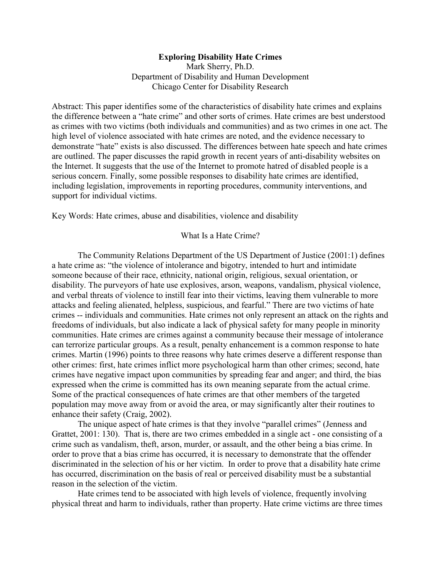# **Exploring Disability Hate Crimes**

Mark Sherry, Ph.D. Department of Disability and Human Development Chicago Center for Disability Research

Abstract: This paper identifies some of the characteristics of disability hate crimes and explains the difference between a "hate crime" and other sorts of crimes. Hate crimes are best understood as crimes with two victims (both individuals and communities) and as two crimes in one act. The high level of violence associated with hate crimes are noted, and the evidence necessary to demonstrate "hate" exists is also discussed. The differences between hate speech and hate crimes are outlined. The paper discusses the rapid growth in recent years of anti-disability websites on the Internet. It suggests that the use of the Internet to promote hatred of disabled people is a serious concern. Finally, some possible responses to disability hate crimes are identified, including legislation, improvements in reporting procedures, community interventions, and support for individual victims.

Key Words: Hate crimes, abuse and disabilities, violence and disability

What Is a Hate Crime?

The Community Relations Department of the US Department of Justice (2001:1) defines a hate crime as: "the violence of intolerance and bigotry, intended to hurt and intimidate someone because of their race, ethnicity, national origin, religious, sexual orientation, or disability. The purveyors of hate use explosives, arson, weapons, vandalism, physical violence, and verbal threats of violence to instill fear into their victims, leaving them vulnerable to more attacks and feeling alienated, helpless, suspicious, and fearful." There are two victims of hate crimes -- individuals and communities. Hate crimes not only represent an attack on the rights and freedoms of individuals, but also indicate a lack of physical safety for many people in minority communities. Hate crimes are crimes against a community because their message of intolerance can terrorize particular groups. As a result, penalty enhancement is a common response to hate crimes. Martin (1996) points to three reasons why hate crimes deserve a different response than other crimes: first, hate crimes inflict more psychological harm than other crimes; second, hate crimes have negative impact upon communities by spreading fear and anger; and third, the bias expressed when the crime is committed has its own meaning separate from the actual crime. Some of the practical consequences of hate crimes are that other members of the targeted population may move away from or avoid the area, or may significantly alter their routines to enhance their safety (Craig, 2002).

The unique aspect of hate crimes is that they involve "parallel crimes" (Jenness and Grattet, 2001: 130). That is, there are two crimes embedded in a single act - one consisting of a crime such as vandalism, theft, arson, murder, or assault, and the other being a bias crime. In order to prove that a bias crime has occurred, it is necessary to demonstrate that the offender discriminated in the selection of his or her victim. In order to prove that a disability hate crime has occurred, discrimination on the basis of real or perceived disability must be a substantial reason in the selection of the victim.

Hate crimes tend to be associated with high levels of violence, frequently involving physical threat and harm to individuals, rather than property. Hate crime victims are three times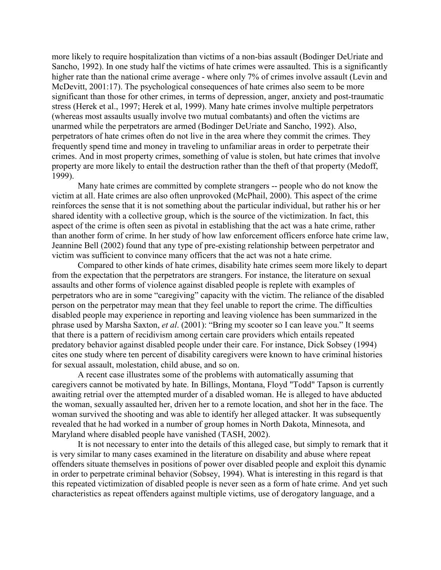more likely to require hospitalization than victims of a non-bias assault (Bodinger DeUriate and Sancho, 1992). In one study half the victims of hate crimes were assaulted. This is a significantly higher rate than the national crime average - where only 7% of crimes involve assault (Levin and McDevitt, 2001:17). The psychological consequences of hate crimes also seem to be more significant than those for other crimes, in terms of depression, anger, anxiety and post-traumatic stress (Herek et al., 1997; Herek et al, 1999). Many hate crimes involve multiple perpetrators (whereas most assaults usually involve two mutual combatants) and often the victims are unarmed while the perpetrators are armed (Bodinger DeUriate and Sancho, 1992). Also, perpetrators of hate crimes often do not live in the area where they commit the crimes. They frequently spend time and money in traveling to unfamiliar areas in order to perpetrate their crimes. And in most property crimes, something of value is stolen, but hate crimes that involve property are more likely to entail the destruction rather than the theft of that property (Medoff, 1999).

Many hate crimes are committed by complete strangers -- people who do not know the victim at all. Hate crimes are also often unprovoked (McPhail, 2000). This aspect of the crime reinforces the sense that it is not something about the particular individual, but rather his or her shared identity with a collective group, which is the source of the victimization. In fact, this aspect of the crime is often seen as pivotal in establishing that the act was a hate crime, rather than another form of crime. In her study of how law enforcement officers enforce hate crime law, Jeannine Bell (2002) found that any type of pre-existing relationship between perpetrator and victim was sufficient to convince many officers that the act was not a hate crime.

Compared to other kinds of hate crimes, disability hate crimes seem more likely to depart from the expectation that the perpetrators are strangers. For instance, the literature on sexual assaults and other forms of violence against disabled people is replete with examples of perpetrators who are in some "caregiving" capacity with the victim. The reliance of the disabled person on the perpetrator may mean that they feel unable to report the crime. The difficulties disabled people may experience in reporting and leaving violence has been summarized in the phrase used by Marsha Saxton, *et al*. (2001): "Bring my scooter so I can leave you." It seems that there is a pattern of recidivism among certain care providers which entails repeated predatory behavior against disabled people under their care. For instance, Dick Sobsey (1994) cites one study where ten percent of disability caregivers were known to have criminal histories for sexual assault, molestation, child abuse, and so on.

A recent case illustrates some of the problems with automatically assuming that caregivers cannot be motivated by hate. In Billings, Montana, Floyd "Todd" Tapson is currently awaiting retrial over the attempted murder of a disabled woman. He is alleged to have abducted the woman, sexually assaulted her, driven her to a remote location, and shot her in the face. The woman survived the shooting and was able to identify her alleged attacker. It was subsequently revealed that he had worked in a number of group homes in North Dakota, Minnesota, and Maryland where disabled people have vanished (TASH, 2002).

It is not necessary to enter into the details of this alleged case, but simply to remark that it is very similar to many cases examined in the literature on disability and abuse where repeat offenders situate themselves in positions of power over disabled people and exploit this dynamic in order to perpetrate criminal behavior (Sobsey, 1994). What is interesting in this regard is that this repeated victimization of disabled people is never seen as a form of hate crime. And yet such characteristics as repeat offenders against multiple victims, use of derogatory language, and a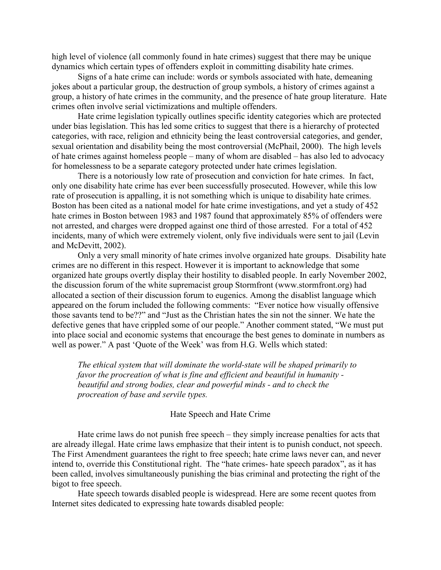high level of violence (all commonly found in hate crimes) suggest that there may be unique dynamics which certain types of offenders exploit in committing disability hate crimes.

Signs of a hate crime can include: words or symbols associated with hate, demeaning jokes about a particular group, the destruction of group symbols, a history of crimes against a group, a history of hate crimes in the community, and the presence of hate group literature. Hate crimes often involve serial victimizations and multiple offenders.

Hate crime legislation typically outlines specific identity categories which are protected under bias legislation. This has led some critics to suggest that there is a hierarchy of protected categories, with race, religion and ethnicity being the least controversial categories, and gender, sexual orientation and disability being the most controversial (McPhail, 2000). The high levels of hate crimes against homeless people – many of whom are disabled – has also led to advocacy for homelessness to be a separate category protected under hate crimes legislation.

There is a notoriously low rate of prosecution and conviction for hate crimes. In fact, only one disability hate crime has ever been successfully prosecuted. However, while this low rate of prosecution is appalling, it is not something which is unique to disability hate crimes. Boston has been cited as a national model for hate crime investigations, and yet a study of 452 hate crimes in Boston between 1983 and 1987 found that approximately 85% of offenders were not arrested, and charges were dropped against one third of those arrested. For a total of 452 incidents, many of which were extremely violent, only five individuals were sent to jail (Levin and McDevitt, 2002).

Only a very small minority of hate crimes involve organized hate groups. Disability hate crimes are no different in this respect. However it is important to acknowledge that some organized hate groups overtly display their hostility to disabled people. In early November 2002, the discussion forum of the white supremacist group Stormfront (www.stormfront.org) had allocated a section of their discussion forum to eugenics. Among the disablist language which appeared on the forum included the following comments: "Ever notice how visually offensive those savants tend to be??" and "Just as the Christian hates the sin not the sinner. We hate the defective genes that have crippled some of our people." Another comment stated, "We must put into place social and economic systems that encourage the best genes to dominate in numbers as well as power." A past 'Quote of the Week' was from H.G. Wells which stated:

*The ethical system that will dominate the world-state will be shaped primarily to favor the procreation of what is fine and efficient and beautiful in humanity beautiful and strong bodies, clear and powerful minds - and to check the procreation of base and servile types.* 

#### Hate Speech and Hate Crime

Hate crime laws do not punish free speech – they simply increase penalties for acts that are already illegal. Hate crime laws emphasize that their intent is to punish conduct, not speech. The First Amendment guarantees the right to free speech; hate crime laws never can, and never intend to, override this Constitutional right. The "hate crimes- hate speech paradox", as it has been called, involves simultaneously punishing the bias criminal and protecting the right of the bigot to free speech.

Hate speech towards disabled people is widespread. Here are some recent quotes from Internet sites dedicated to expressing hate towards disabled people: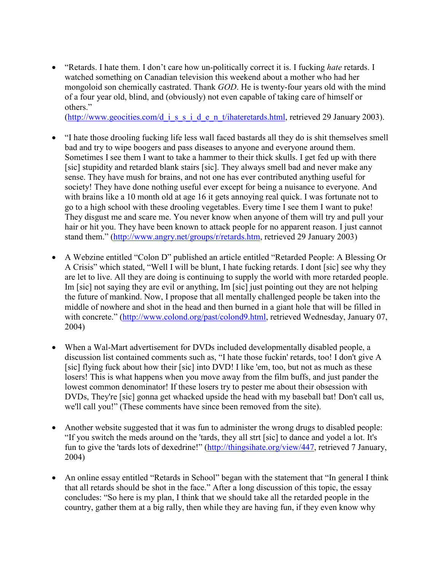• "Retards. I hate them. I don't care how un-politically correct it is. I fucking *hate* retards. I watched something on Canadian television this weekend about a mother who had her mongoloid son chemically castrated. Thank *GOD*. He is twenty-four years old with the mind of a four year old, blind, and (obviously) not even capable of taking care of himself or others."

(http://www.geocities.com/d\_i\_s\_s\_i\_d\_e\_n\_t/ihateretards.html, retrieved 29 January 2003).

- "I hate those drooling fucking life less wall faced bastards all they do is shit themselves smell bad and try to wipe boogers and pass diseases to anyone and everyone around them. Sometimes I see them I want to take a hammer to their thick skulls. I get fed up with there [sic] stupidity and retarded blank stairs [sic]. They always smell bad and never make any sense. They have mush for brains, and not one has ever contributed anything useful for society! They have done nothing useful ever except for being a nuisance to everyone. And with brains like a 10 month old at age 16 it gets annoying real quick. I was fortunate not to go to a high school with these drooling vegetables. Every time I see them I want to puke! They disgust me and scare me. You never know when anyone of them will try and pull your hair or hit you. They have been known to attack people for no apparent reason. I just cannot stand them." (http://www.angry.net/groups/r/retards.htm, retrieved 29 January 2003)
- A Webzine entitled "Colon D" published an article entitled "Retarded People: A Blessing Or A Crisis" which stated, "Well I will be blunt, I hate fucking retards. I dont [sic] see why they are let to live. All they are doing is continuing to supply the world with more retarded people. Im [sic] not saying they are evil or anything, Im [sic] just pointing out they are not helping the future of mankind. Now, I propose that all mentally challenged people be taken into the middle of nowhere and shot in the head and then burned in a giant hole that will be filled in with concrete." (http://www.colond.org/past/colond9.html, retrieved Wednesday, January 07, 2004)
- When a Wal-Mart advertisement for DVDs included developmentally disabled people, a discussion list contained comments such as, "I hate those fuckin' retards, too! I don't give A [sic] flying fuck about how their [sic] into DVD! I like 'em, too, but not as much as these losers! This is what happens when you move away from the film buffs, and just pander the lowest common denominator! If these losers try to pester me about their obsession with DVDs, They're [sic] gonna get whacked upside the head with my baseball bat! Don't call us, we'll call you!" (These comments have since been removed from the site).
- Another website suggested that it was fun to administer the wrong drugs to disabled people: "If you switch the meds around on the 'tards, they all strt [sic] to dance and yodel a lot. It's fun to give the 'tards lots of dexedrine!" (http://thingsihate.org/view/447, retrieved 7 January, 2004)
- An online essay entitled "Retards in School" began with the statement that "In general I think that all retards should be shot in the face." After a long discussion of this topic, the essay concludes: "So here is my plan, I think that we should take all the retarded people in the country, gather them at a big rally, then while they are having fun, if they even know why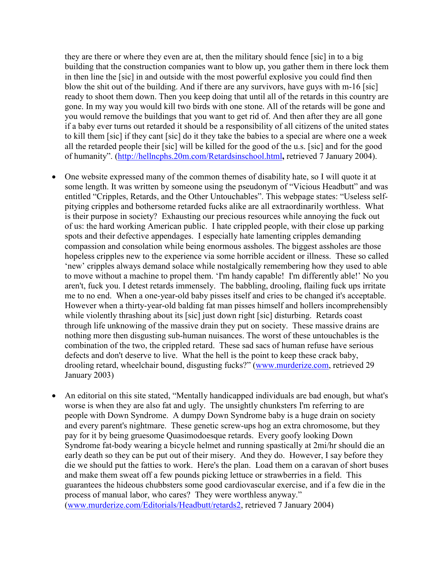they are there or where they even are at, then the military should fence [sic] in to a big building that the construction companies want to blow up, you gather them in there lock them in then line the [sic] in and outside with the most powerful explosive you could find then blow the shit out of the building. And if there are any survivors, have guys with m-16 [sic] ready to shoot them down. Then you keep doing that until all of the retards in this country are gone. In my way you would kill two birds with one stone. All of the retards will be gone and you would remove the buildings that you want to get rid of. And then after they are all gone if a baby ever turns out retarded it should be a responsibility of all citizens of the united states to kill them [sic] if they cant [sic] do it they take the babies to a special are where one a week all the retarded people their [sic] will be killed for the good of the u.s. [sic] and for the good of humanity". (http://hellncphs.20m.com/Retardsinschool.html**,** retrieved 7 January 2004).

- One website expressed many of the common themes of disability hate, so I will quote it at some length. It was written by someone using the pseudonym of "Vicious Headbutt" and was entitled "Cripples, Retards, and the Other Untouchables". This webpage states: "Useless selfpitying cripples and bothersome retarded fucks alike are all extraordinarily worthless. What is their purpose in society? Exhausting our precious resources while annoying the fuck out of us: the hard working American public. I hate crippled people, with their close up parking spots and their defective appendages. I especially hate lamenting cripples demanding compassion and consolation while being enormous assholes. The biggest assholes are those hopeless cripples new to the experience via some horrible accident or illness. These so called 'new' cripples always demand solace while nostalgically remembering how they used to able to move without a machine to propel them. 'I'm handy capable! I'm differently able!' No you aren't, fuck you. I detest retards immensely. The babbling, drooling, flailing fuck ups irritate me to no end. When a one-year-old baby pisses itself and cries to be changed it's acceptable. However when a thirty-year-old balding fat man pisses himself and hollers incomprehensibly while violently thrashing about its [sic] just down right [sic] disturbing. Retards coast through life unknowing of the massive drain they put on society. These massive drains are nothing more then disgusting sub-human nuisances. The worst of these untouchables is the combination of the two, the crippled retard. These sad sacs of human refuse have serious defects and don't deserve to live. What the hell is the point to keep these crack baby, drooling retard, wheelchair bound, disgusting fucks?" (www.murderize.com, retrieved 29 January 2003)
- An editorial on this site stated, "Mentally handicapped individuals are bad enough, but what's worse is when they are also fat and ugly. The unsightly chunksters I'm referring to are people with Down Syndrome. A dumpy Down Syndrome baby is a huge drain on society and every parent's nightmare. These genetic screw-ups hog an extra chromosome, but they pay for it by being gruesome Quasimodoesque retards. Every goofy looking Down Syndrome fat-body wearing a bicycle helmet and running spastically at 2mi/hr should die an early death so they can be put out of their misery. And they do. However, I say before they die we should put the fatties to work. Here's the plan. Load them on a caravan of short buses and make them sweat off a few pounds picking lettuce or strawberries in a field. This guarantees the hideous chubbsters some good cardiovascular exercise, and if a few die in the process of manual labor, who cares? They were worthless anyway." (www.murderize.com/Editorials/Headbutt/retards2, retrieved 7 January 2004)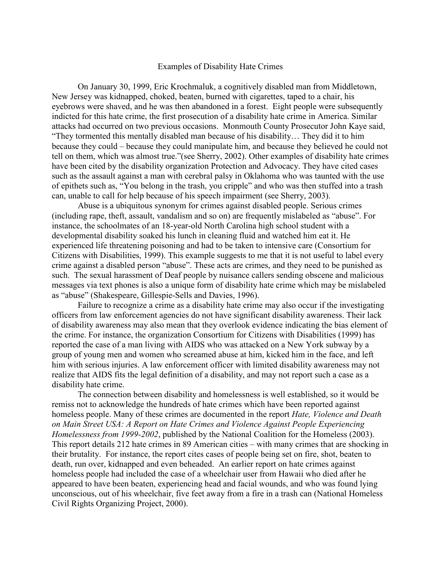#### Examples of Disability Hate Crimes

On January 30, 1999, Eric Krochmaluk, a cognitively disabled man from Middletown, New Jersey was kidnapped, choked, beaten, burned with cigarettes, taped to a chair, his eyebrows were shaved, and he was then abandoned in a forest. Eight people were subsequently indicted for this hate crime, the first prosecution of a disability hate crime in America. Similar attacks had occurred on two previous occasions. Monmouth County Prosecutor John Kaye said, "They tormented this mentally disabled man because of his disability… They did it to him because they could – because they could manipulate him, and because they believed he could not tell on them, which was almost true."(see Sherry, 2002). Other examples of disability hate crimes have been cited by the disability organization Protection and Advocacy. They have cited cases such as the assault against a man with cerebral palsy in Oklahoma who was taunted with the use of epithets such as, "You belong in the trash, you cripple" and who was then stuffed into a trash can, unable to call for help because of his speech impairment (see Sherry, 2003).

Abuse is a ubiquitous synonym for crimes against disabled people. Serious crimes (including rape, theft, assault, vandalism and so on) are frequently mislabeled as "abuse". For instance, the schoolmates of an 18-year-old North Carolina high school student with a developmental disability soaked his lunch in cleaning fluid and watched him eat it. He experienced life threatening poisoning and had to be taken to intensive care (Consortium for Citizens with Disabilities, 1999). This example suggests to me that it is not useful to label every crime against a disabled person "abuse". These acts are crimes, and they need to be punished as such. The sexual harassment of Deaf people by nuisance callers sending obscene and malicious messages via text phones is also a unique form of disability hate crime which may be mislabeled as "abuse" (Shakespeare, Gillespie-Sells and Davies, 1996).

Failure to recognize a crime as a disability hate crime may also occur if the investigating officers from law enforcement agencies do not have significant disability awareness. Their lack of disability awareness may also mean that they overlook evidence indicating the bias element of the crime. For instance, the organization Consortium for Citizens with Disabilities (1999) has reported the case of a man living with AIDS who was attacked on a New York subway by a group of young men and women who screamed abuse at him, kicked him in the face, and left him with serious injuries. A law enforcement officer with limited disability awareness may not realize that AIDS fits the legal definition of a disability, and may not report such a case as a disability hate crime.

The connection between disability and homelessness is well established, so it would be remiss not to acknowledge the hundreds of hate crimes which have been reported against homeless people. Many of these crimes are documented in the report *Hate, Violence and Death on Main Street USA: A Report on Hate Crimes and Violence Against People Experiencing Homelessness from 1999-2002*, published by the National Coalition for the Homeless (2003). This report details 212 hate crimes in 89 American cities – with many crimes that are shocking in their brutality. For instance, the report cites cases of people being set on fire, shot, beaten to death, run over, kidnapped and even beheaded. An earlier report on hate crimes against homeless people had included the case of a wheelchair user from Hawaii who died after he appeared to have been beaten, experiencing head and facial wounds, and who was found lying unconscious, out of his wheelchair, five feet away from a fire in a trash can (National Homeless Civil Rights Organizing Project, 2000).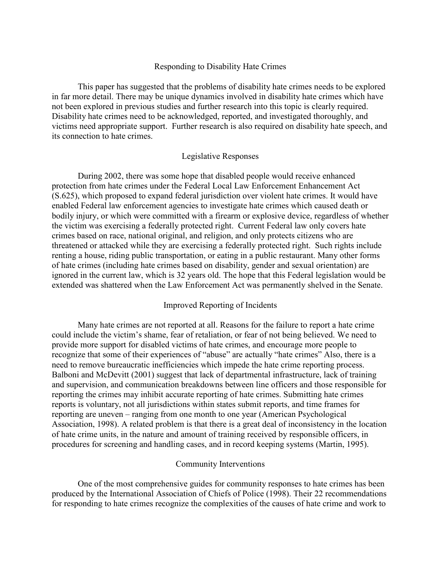### Responding to Disability Hate Crimes

This paper has suggested that the problems of disability hate crimes needs to be explored in far more detail. There may be unique dynamics involved in disability hate crimes which have not been explored in previous studies and further research into this topic is clearly required. Disability hate crimes need to be acknowledged, reported, and investigated thoroughly, and victims need appropriate support. Further research is also required on disability hate speech, and its connection to hate crimes.

### Legislative Responses

During 2002, there was some hope that disabled people would receive enhanced protection from hate crimes under the Federal Local Law Enforcement Enhancement Act (S.625), which proposed to expand federal jurisdiction over violent hate crimes. It would have enabled Federal law enforcement agencies to investigate hate crimes which caused death or bodily injury, or which were committed with a firearm or explosive device, regardless of whether the victim was exercising a federally protected right. Current Federal law only covers hate crimes based on race, national original, and religion, and only protects citizens who are threatened or attacked while they are exercising a federally protected right. Such rights include renting a house, riding public transportation, or eating in a public restaurant. Many other forms of hate crimes (including hate crimes based on disability, gender and sexual orientation) are ignored in the current law, which is 32 years old. The hope that this Federal legislation would be extended was shattered when the Law Enforcement Act was permanently shelved in the Senate.

## Improved Reporting of Incidents

Many hate crimes are not reported at all. Reasons for the failure to report a hate crime could include the victim's shame, fear of retaliation, or fear of not being believed. We need to provide more support for disabled victims of hate crimes, and encourage more people to recognize that some of their experiences of "abuse" are actually "hate crimes" Also, there is a need to remove bureaucratic inefficiencies which impede the hate crime reporting process. Balboni and McDevitt (2001) suggest that lack of departmental infrastructure, lack of training and supervision, and communication breakdowns between line officers and those responsible for reporting the crimes may inhibit accurate reporting of hate crimes. Submitting hate crimes reports is voluntary, not all jurisdictions within states submit reports, and time frames for reporting are uneven – ranging from one month to one year (American Psychological Association, 1998). A related problem is that there is a great deal of inconsistency in the location of hate crime units, in the nature and amount of training received by responsible officers, in procedures for screening and handling cases, and in record keeping systems (Martin, 1995).

#### Community Interventions

One of the most comprehensive guides for community responses to hate crimes has been produced by the International Association of Chiefs of Police (1998). Their 22 recommendations for responding to hate crimes recognize the complexities of the causes of hate crime and work to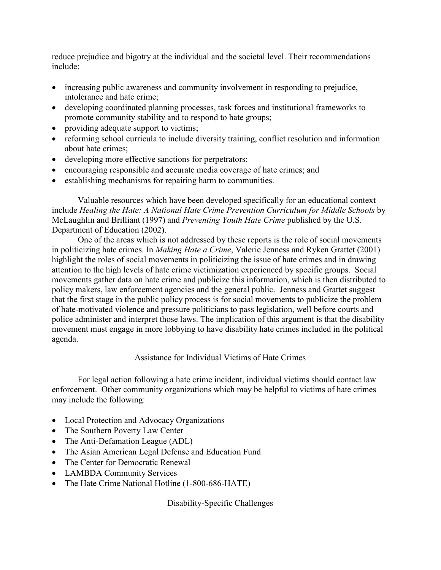reduce prejudice and bigotry at the individual and the societal level. Their recommendations include:

- increasing public awareness and community involvement in responding to prejudice, intolerance and hate crime;
- developing coordinated planning processes, task forces and institutional frameworks to promote community stability and to respond to hate groups;
- providing adequate support to victims;
- reforming school curricula to include diversity training, conflict resolution and information about hate crimes;
- developing more effective sanctions for perpetrators;
- encouraging responsible and accurate media coverage of hate crimes; and
- establishing mechanisms for repairing harm to communities.

Valuable resources which have been developed specifically for an educational context include *Healing the Hate: A National Hate Crime Prevention Curriculum for Middle Schools* by McLaughlin and Brilliant (1997) and *Preventing Youth Hate Crime* published by the U.S. Department of Education (2002).

One of the areas which is not addressed by these reports is the role of social movements in politicizing hate crimes. In *Making Hate a Crime*, Valerie Jenness and Ryken Grattet (2001) highlight the roles of social movements in politicizing the issue of hate crimes and in drawing attention to the high levels of hate crime victimization experienced by specific groups. Social movements gather data on hate crime and publicize this information, which is then distributed to policy makers, law enforcement agencies and the general public. Jenness and Grattet suggest that the first stage in the public policy process is for social movements to publicize the problem of hate-motivated violence and pressure politicians to pass legislation, well before courts and police administer and interpret those laws. The implication of this argument is that the disability movement must engage in more lobbying to have disability hate crimes included in the political agenda.

Assistance for Individual Victims of Hate Crimes

For legal action following a hate crime incident, individual victims should contact law enforcement. Other community organizations which may be helpful to victims of hate crimes may include the following:

- Local Protection and Advocacy Organizations
- The Southern Poverty Law Center
- The Anti-Defamation League (ADL)
- The Asian American Legal Defense and Education Fund
- The Center for Democratic Renewal
- LAMBDA Community Services
- The Hate Crime National Hotline (1-800-686-HATE)

Disability-Specific Challenges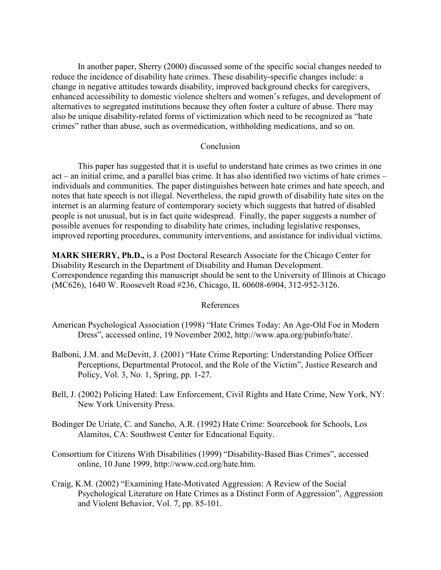In another paper, Sherry (2000) discussed some of the specific social changes needed to reduce the incidence of disability hate crimes. These disability-specific changes include: a change in negative attitudes towards disability, improved background checks for caregivers, enhanced accessibility to domestic violence shelters and women's refuges, and development of alternatives to segregated institutions because they often foster a culture of abuse. There may also be unique disability-related forms of victimization which need to be recognized as "hate crimes" rather than abuse, such as overmedication, withholding medications, and so on.

## Conclusion

This paper has suggested that it is useful to understand hate crimes as two crimes in one act – an initial crime, and a parallel bias crime. It has also identified two victims of hate crimes – individuals and communities. The paper distinguishes between hate crimes and hate speech, and notes that hate speech is not illegal. Nevertheless, the rapid growth of disability hate sites on the internet is an alarming feature of contemporary society which suggests that hatred of disabled people is not unusual, but is in fact quite widespread. Finally, the paper suggests a number of possible avenues for responding to disability hate crimes, including legislative responses, improved reporting procedures, community interventions, and assistance for individual victims.

**MARK SHERRY, Ph.D.,** is a Post Doctoral Research Associate for the Chicago Center for Disability Research in the Department of Disability and Human Development. Correspondence regarding this manuscript should be sent to the University of Illinois at Chicago (MC626), 1640 W. Roosevelt Road #236, Chicago, IL 60608-6904, 312-952-3126.

# References

- American Psychological Association (1998) "Hate Crimes Today: An Age-Old Foe in Modern Dress", accessed online, 19 November 2002, http://www.apa.org/pubinfo/hate/.
- Balboni, J.M. and McDevitt, J. (2001) "Hate Crime Reporting: Understanding Police Officer Perceptions, Departmental Protocol, and the Role of the Victim", Justice Research and Policy, Vol. 3, No. 1, Spring, pp. 1-27.
- Bell, J. (2002) Policing Hated: Law Enforcement, Civil Rights and Hate Crime, New York, NY: New York University Press.
- Bodinger De Uriate, C. and Sancho, A.R. (1992) Hate Crime: Sourcebook for Schools, Los Alamitos, CA: Southwest Center for Educational Equity.
- Consortium for Citizens With Disabilities (1999) "Disability-Based Bias Crimes", accessed online, 10 June 1999, http://www.ccd.org/hate.htm.
- Craig, K.M. (2002) "Examining Hate-Motivated Aggression: A Review of the Social Psychological Literature on Hate Crimes as a Distinct Form of Aggression", Aggression and Violent Behavior, Vol. 7, pp. 85-101.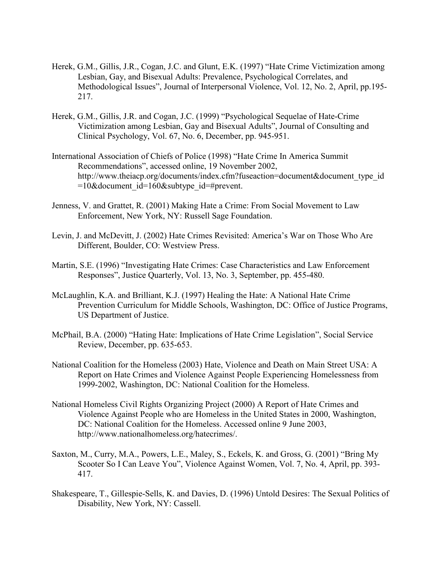- Herek, G.M., Gillis, J.R., Cogan, J.C. and Glunt, E.K. (1997) "Hate Crime Victimization among Lesbian, Gay, and Bisexual Adults: Prevalence, Psychological Correlates, and Methodological Issues", Journal of Interpersonal Violence, Vol. 12, No. 2, April, pp.195- 217.
- Herek, G.M., Gillis, J.R. and Cogan, J.C. (1999) "Psychological Sequelae of Hate-Crime Victimization among Lesbian, Gay and Bisexual Adults", Journal of Consulting and Clinical Psychology, Vol. 67, No. 6, December, pp. 945-951.
- International Association of Chiefs of Police (1998) "Hate Crime In America Summit Recommendations", accessed online, 19 November 2002, http://www.theiacp.org/documents/index.cfm?fuseaction=document&document\_type\_id  $=10\&$ document id=160 $\&$ subtype id=#prevent.
- Jenness, V. and Grattet, R. (2001) Making Hate a Crime: From Social Movement to Law Enforcement, New York, NY: Russell Sage Foundation.
- Levin, J. and McDevitt, J. (2002) Hate Crimes Revisited: America's War on Those Who Are Different, Boulder, CO: Westview Press.
- Martin, S.E. (1996) "Investigating Hate Crimes: Case Characteristics and Law Enforcement Responses", Justice Quarterly, Vol. 13, No. 3, September, pp. 455-480.
- McLaughlin, K.A. and Brilliant, K.J. (1997) Healing the Hate: A National Hate Crime Prevention Curriculum for Middle Schools, Washington, DC: Office of Justice Programs, US Department of Justice.
- McPhail, B.A. (2000) "Hating Hate: Implications of Hate Crime Legislation", Social Service Review, December, pp. 635-653.
- National Coalition for the Homeless (2003) Hate, Violence and Death on Main Street USA: A Report on Hate Crimes and Violence Against People Experiencing Homelessness from 1999-2002, Washington, DC: National Coalition for the Homeless.
- National Homeless Civil Rights Organizing Project (2000) A Report of Hate Crimes and Violence Against People who are Homeless in the United States in 2000, Washington, DC: National Coalition for the Homeless. Accessed online 9 June 2003, http://www.nationalhomeless.org/hatecrimes/.
- Saxton, M., Curry, M.A., Powers, L.E., Maley, S., Eckels, K. and Gross, G. (2001) "Bring My Scooter So I Can Leave You", Violence Against Women, Vol. 7, No. 4, April, pp. 393- 417.
- Shakespeare, T., Gillespie-Sells, K. and Davies, D. (1996) Untold Desires: The Sexual Politics of Disability, New York, NY: Cassell.